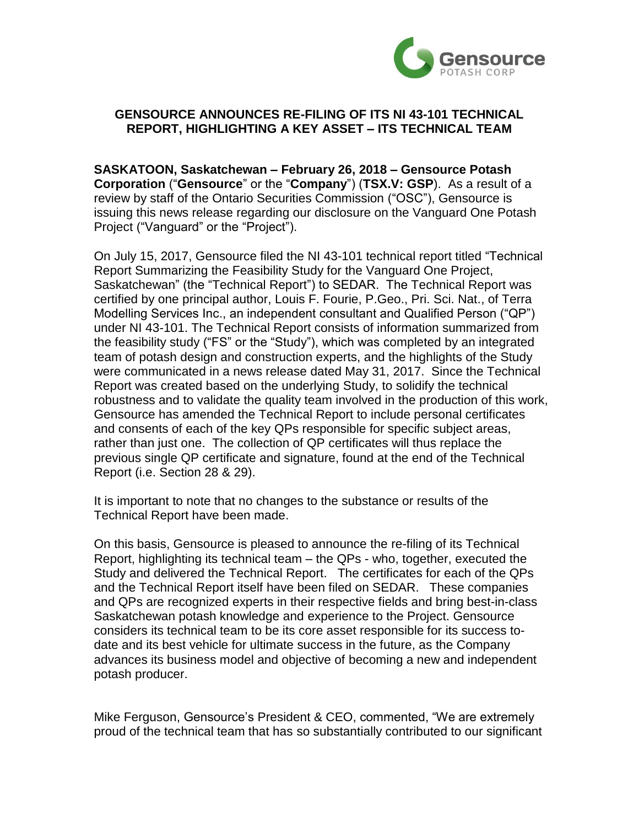

## **GENSOURCE ANNOUNCES RE-FILING OF ITS NI 43-101 TECHNICAL REPORT, HIGHLIGHTING A KEY ASSET – ITS TECHNICAL TEAM**

**SASKATOON, Saskatchewan – February 26, 2018 – Gensource Potash Corporation** ("**Gensource**" or the "**Company**") (**TSX.V: GSP**). As a result of a review by staff of the Ontario Securities Commission ("OSC"), Gensource is issuing this news release regarding our disclosure on the Vanguard One Potash Project ("Vanguard" or the "Project").

On July 15, 2017, Gensource filed the NI 43-101 technical report titled "Technical Report Summarizing the Feasibility Study for the Vanguard One Project, Saskatchewan" (the "Technical Report") to SEDAR. The Technical Report was certified by one principal author, Louis F. Fourie, P.Geo., Pri. Sci. Nat., of Terra Modelling Services Inc., an independent consultant and Qualified Person ("QP") under NI 43-101. The Technical Report consists of information summarized from the feasibility study ("FS" or the "Study"), which was completed by an integrated team of potash design and construction experts, and the highlights of the Study were communicated in a news release dated May 31, 2017. Since the Technical Report was created based on the underlying Study, to solidify the technical robustness and to validate the quality team involved in the production of this work, Gensource has amended the Technical Report to include personal certificates and consents of each of the key QPs responsible for specific subject areas, rather than just one. The collection of QP certificates will thus replace the previous single QP certificate and signature, found at the end of the Technical Report (i.e. Section 28 & 29).

It is important to note that no changes to the substance or results of the Technical Report have been made.

On this basis, Gensource is pleased to announce the re-filing of its Technical Report, highlighting its technical team – the QPs - who, together, executed the Study and delivered the Technical Report. The certificates for each of the QPs and the Technical Report itself have been filed on SEDAR. These companies and QPs are recognized experts in their respective fields and bring best-in-class Saskatchewan potash knowledge and experience to the Project. Gensource considers its technical team to be its core asset responsible for its success todate and its best vehicle for ultimate success in the future, as the Company advances its business model and objective of becoming a new and independent potash producer.

Mike Ferguson, Gensource's President & CEO, commented, "We are extremely proud of the technical team that has so substantially contributed to our significant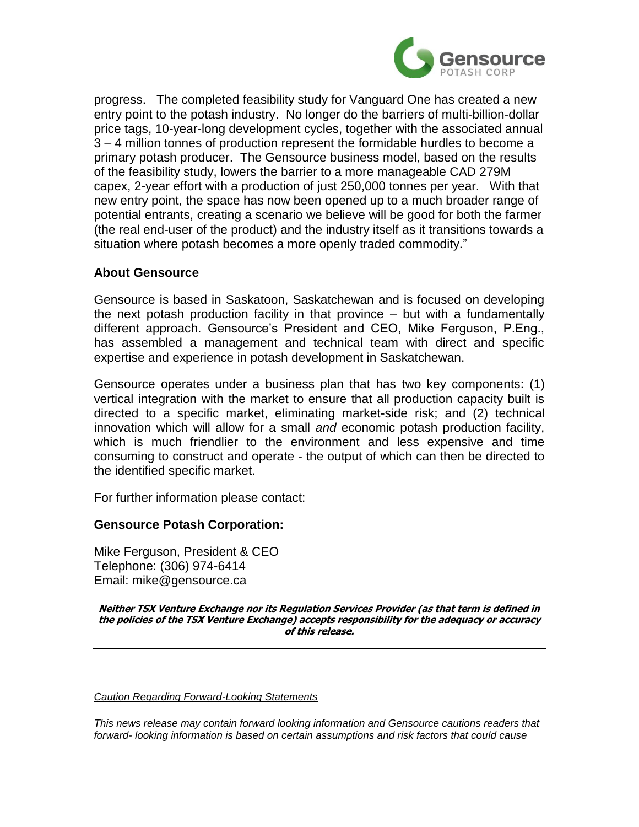

progress. The completed feasibility study for Vanguard One has created a new entry point to the potash industry. No longer do the barriers of multi-billion-dollar price tags, 10-year-long development cycles, together with the associated annual 3 – 4 million tonnes of production represent the formidable hurdles to become a primary potash producer. The Gensource business model, based on the results of the feasibility study, lowers the barrier to a more manageable CAD 279M capex, 2-year effort with a production of just 250,000 tonnes per year. With that new entry point, the space has now been opened up to a much broader range of potential entrants, creating a scenario we believe will be good for both the farmer (the real end-user of the product) and the industry itself as it transitions towards a situation where potash becomes a more openly traded commodity."

## **About Gensource**

Gensource is based in Saskatoon, Saskatchewan and is focused on developing the next potash production facility in that province – but with a fundamentally different approach. Gensource's President and CEO, Mike Ferguson, P.Eng., has assembled a management and technical team with direct and specific expertise and experience in potash development in Saskatchewan.

Gensource operates under a business plan that has two key components: (1) vertical integration with the market to ensure that all production capacity built is directed to a specific market, eliminating market-side risk; and (2) technical innovation which will allow for a small *and* economic potash production facility, which is much friendlier to the environment and less expensive and time consuming to construct and operate - the output of which can then be directed to the identified specific market.

For further information please contact:

## **Gensource Potash Corporation:**

Mike Ferguson, President & CEO Telephone: (306) 974-6414 Email: mike@gensource.ca

**Neither TSX Venture Exchange nor its Regulation Services Provider (as that term is defined in the policies of the TSX Venture Exchange) accepts responsibility for the adequacy or accuracy of this release.**

## *Caution Regarding Forward-Looking Statements*

*This news release may contain forward looking information and Gensource cautions readers that forward- looking information is based on certain assumptions and risk factors that could cause*